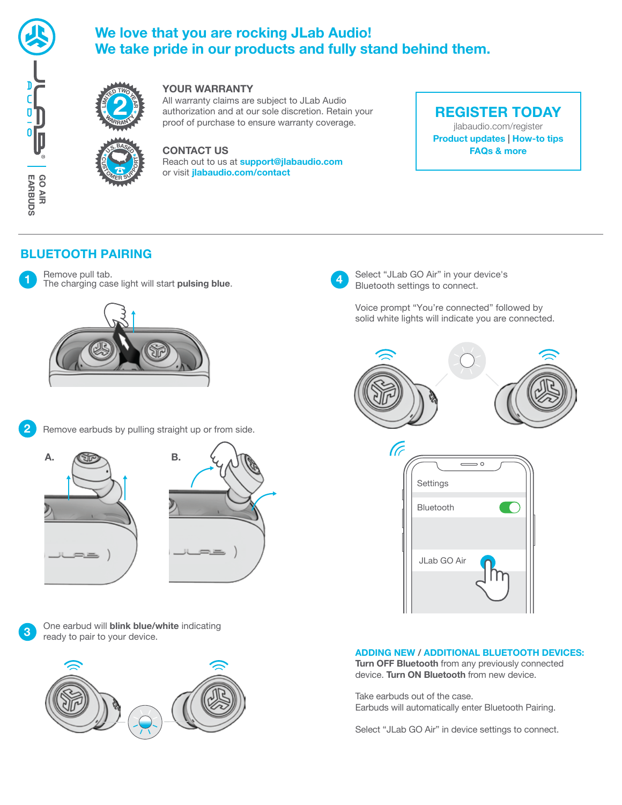

# **We love that you are rocking JLab Audio! We take pride in our products and fully stand behind them.**



 $\n \, \frac{1}{2}$ 

**C<sup>U</sup>STOMERSUPPORT**

#### **YOUR WARRANTY**

All warranty claims are subject to JLab Audio authorization and at our sole discretion. Retain your proof of purchase to ensure warranty coverage.

#### **CONTACT US**

Reach out to us at **support@jlabaudio.com** or visit **jlabaudio.com/contact**

# **REGISTER TODAY**

jlabaudio.com/register **Product updates | How-to tips FAQs & more**

## **BLUETOOTH PAIRING**



Remove pull tab. The charging case light will start **pulsing blue**.





**2** Remove earbuds by pulling straight up or from side.





One earbud will **blink blue/white** indicating **3** ready to pair to your device.



Select "JLab GO Air" in your device's Bluetooth settings to connect.

**4**

Voice prompt "You're connected" followed by solid white lights will indicate you are connected.



#### **ADDING NEW / ADDITIONAL BLUETOOTH DEVICES:**

**Turn OFF Bluetooth** from any previously connected device. **Turn ON Bluetooth** from new device.

Take earbuds out of the case. Earbuds will automatically enter Bluetooth Pairing.

Select "JLab GO Air" in device settings to connect.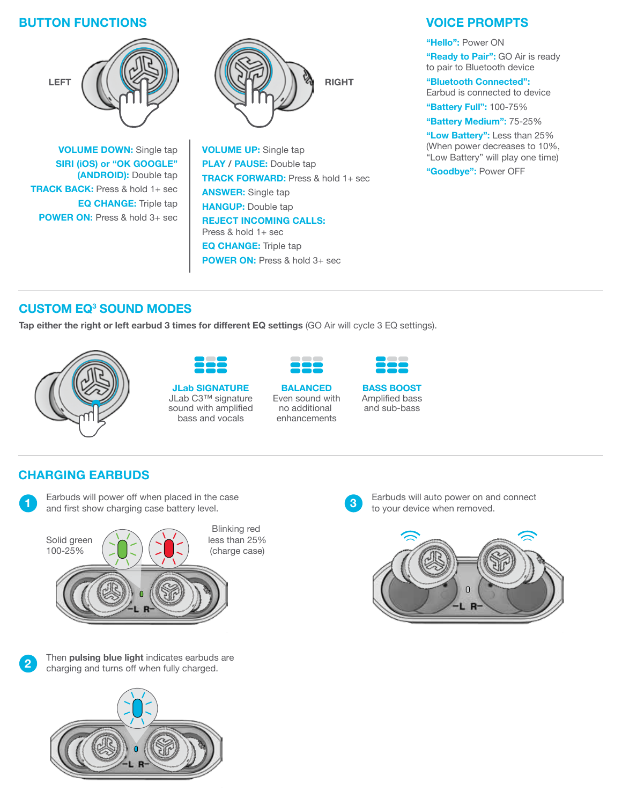## **BUTTON FUNCTIONS**



**VOLUME DOWN:** Single tap **SIRI (iOS) or "OK GOOGLE" (ANDROID):** Double tap **TRACK BACK:** Press & hold 1+ sec **EQ CHANGE:** Triple tap **POWER ON: Press & hold 3+ sec** 



**VOLUME UP:** Single tap **PLAY / PAUSE:** Double tap **TRACK FORWARD:** Press & hold 1+ sec **ANSWER:** Single tap **HANGUP:** Double tap **REJECT INCOMING CALLS:** Press & hold 1+ sec **EQ CHANGE:** Triple tap **POWER ON: Press & hold 3+ sec** 

# **VOICE PROMPTS**

**"Hello":** Power ON

**"Ready to Pair":** GO Air is ready to pair to Bluetooth device

### **"Bluetooth Connected":**

Earbud is connected to device

**"Battery Full":** 100-75% **"Battery Medium":** 75-25%

**"Low Battery":** Less than 25% (When power decreases to 10%, "Low Battery" will play one time) **"Goodbye":** Power OFF

# **CUSTOM EQ3 SOUND MODES**

**Tap either the right or left earbud 3 times for different EQ settings** (GO Air will cycle 3 EQ settings).





**JLab SIGNATURE** JLab C3™ signature sound with amplified bass and vocals



**BALANCED** Even sound with no additional enhancements



**BASS BOOST** Amplified bass and sub-bass

## **CHARGING EARBUDS**



Earbuds will power off when placed in the case and first show charging case battery level.



Then **pulsing blue light** indicates earbuds are charging and turns off when fully charged. **2**



Earbuds will auto power on and connect to your device when removed. **3**